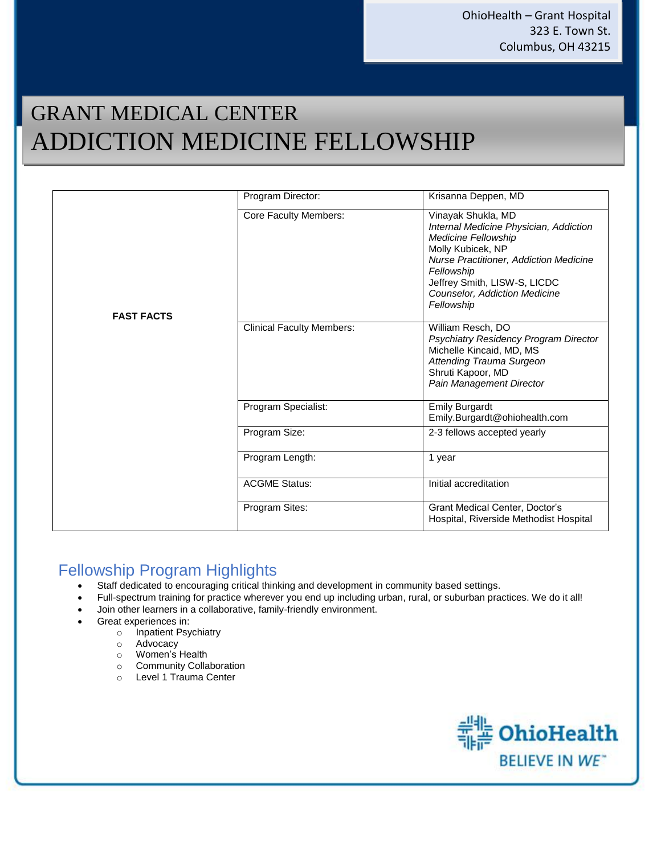# GRANT MEDICAL CENTER ADDICTION MEDICINE FELLOWSHIP

|                   | Program Director:                | Krisanna Deppen, MD                                                                                                                                                                                                                                    |  |  |  |  |
|-------------------|----------------------------------|--------------------------------------------------------------------------------------------------------------------------------------------------------------------------------------------------------------------------------------------------------|--|--|--|--|
| <b>FAST FACTS</b> | Core Faculty Members:            | Vinayak Shukla, MD<br>Internal Medicine Physician, Addiction<br>Medicine Fellowship<br>Molly Kubicek, NP<br>Nurse Practitioner, Addiction Medicine<br>Fellowship<br>Jeffrey Smith, LISW-S, LICDC<br><b>Counselor, Addiction Medicine</b><br>Fellowship |  |  |  |  |
|                   | <b>Clinical Faculty Members:</b> | William Resch, DO<br>Psychiatry Residency Program Director<br>Michelle Kincaid, MD, MS<br>Attending Trauma Surgeon<br>Shruti Kapoor, MD<br>Pain Management Director<br><b>Emily Burgardt</b><br>Emily.Burgardt@ohiohealth.com                          |  |  |  |  |
|                   | Program Specialist:              |                                                                                                                                                                                                                                                        |  |  |  |  |
|                   | Program Size:                    | 2-3 fellows accepted yearly                                                                                                                                                                                                                            |  |  |  |  |
|                   | Program Length:                  | 1 year                                                                                                                                                                                                                                                 |  |  |  |  |
|                   | <b>ACGME Status:</b>             | Initial accreditation                                                                                                                                                                                                                                  |  |  |  |  |
|                   | Program Sites:                   | Grant Medical Center, Doctor's<br>Hospital, Riverside Methodist Hospital                                                                                                                                                                               |  |  |  |  |

## Fellowship Program Highlights

- Staff dedicated to encouraging critical thinking and development in community based settings.
- Full-spectrum training for practice wherever you end up including urban, rural, or suburban practices. We do it all!
- Join other learners in a collaborative, family-friendly environment.
- Great experiences in:
	- o Inpatient Psychiatry
	- o Advocacy
	- o Women's Health
	- o Community Collaboration
	- o Level 1 Trauma Center